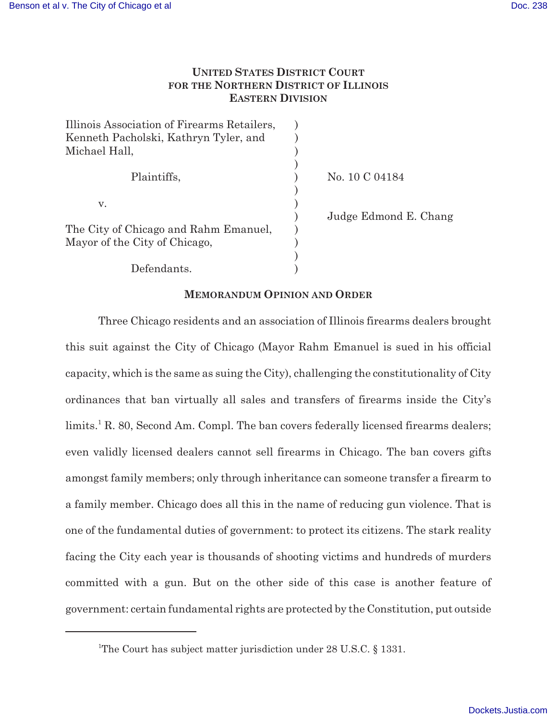# **UNITED STATES DISTRICT COURT FOR THE NORTHERN DISTRICT OF ILLINOIS EASTERN DIVISION**

| Illinois Association of Firearms Retailers,<br>Kenneth Pacholski, Kathryn Tyler, and<br>Michael Hall, |                       |
|-------------------------------------------------------------------------------------------------------|-----------------------|
| Plaintiffs,                                                                                           | No. 10 C 04184        |
| V.                                                                                                    | Judge Edmond E. Chang |
| The City of Chicago and Rahm Emanuel,<br>Mayor of the City of Chicago,                                |                       |
| Defendants.                                                                                           |                       |

# **MEMORANDUM OPINION AND ORDER**

Three Chicago residents and an association of Illinois firearms dealers brought this suit against the City of Chicago (Mayor Rahm Emanuel is sued in his official capacity, which is the same as suing the City), challenging the constitutionality of City ordinances that ban virtually all sales and transfers of firearms inside the City's limits.<sup>1</sup> R. 80, Second Am. Compl. The ban covers federally licensed firearms dealers; even validly licensed dealers cannot sell firearms in Chicago. The ban covers gifts amongst family members; only through inheritance can someone transfer a firearm to a family member. Chicago does all this in the name of reducing gun violence. That is one of the fundamental duties of government: to protect its citizens. The stark reality facing the City each year is thousands of shooting victims and hundreds of murders committed with a gun. But on the other side of this case is another feature of government: certain fundamental rights are protected by the Constitution, put outside

<sup>&</sup>lt;sup>1</sup>The Court has subject matter jurisdiction under  $28$  U.S.C. § 1331.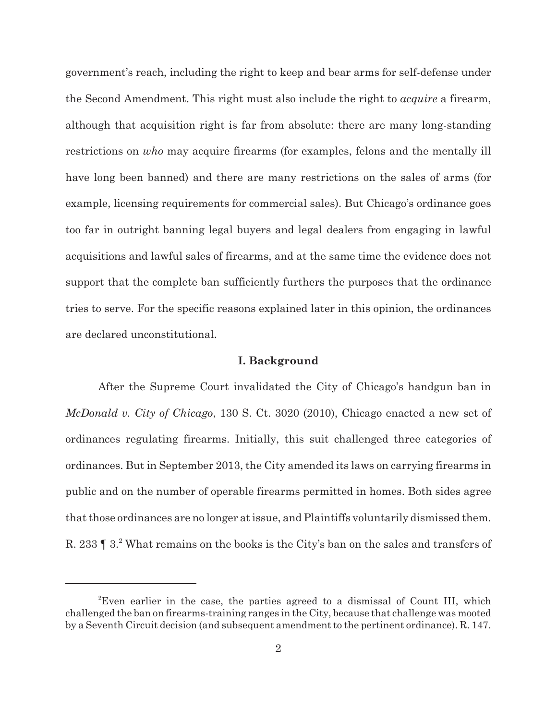government's reach, including the right to keep and bear arms for self-defense under the Second Amendment. This right must also include the right to *acquire* a firearm, although that acquisition right is far from absolute: there are many long-standing restrictions on *who* may acquire firearms (for examples, felons and the mentally ill have long been banned) and there are many restrictions on the sales of arms (for example, licensing requirements for commercial sales). But Chicago's ordinance goes too far in outright banning legal buyers and legal dealers from engaging in lawful acquisitions and lawful sales of firearms, and at the same time the evidence does not support that the complete ban sufficiently furthers the purposes that the ordinance tries to serve. For the specific reasons explained later in this opinion, the ordinances are declared unconstitutional.

## **I. Background**

After the Supreme Court invalidated the City of Chicago's handgun ban in *McDonald v. City of Chicago*, 130 S. Ct. 3020 (2010), Chicago enacted a new set of ordinances regulating firearms. Initially, this suit challenged three categories of ordinances. But in September 2013, the City amended its laws on carrying firearms in public and on the number of operable firearms permitted in homes. Both sides agree that those ordinances are no longer at issue, and Plaintiffs voluntarily dismissed them. R. 233 | 3.<sup>2</sup> What remains on the books is the City's ban on the sales and transfers of

<sup>&</sup>lt;sup>2</sup>Even earlier in the case, the parties agreed to a dismissal of Count III, which challenged the ban on firearms-training ranges in the City, because that challenge was mooted by a Seventh Circuit decision (and subsequent amendment to the pertinent ordinance). R. 147.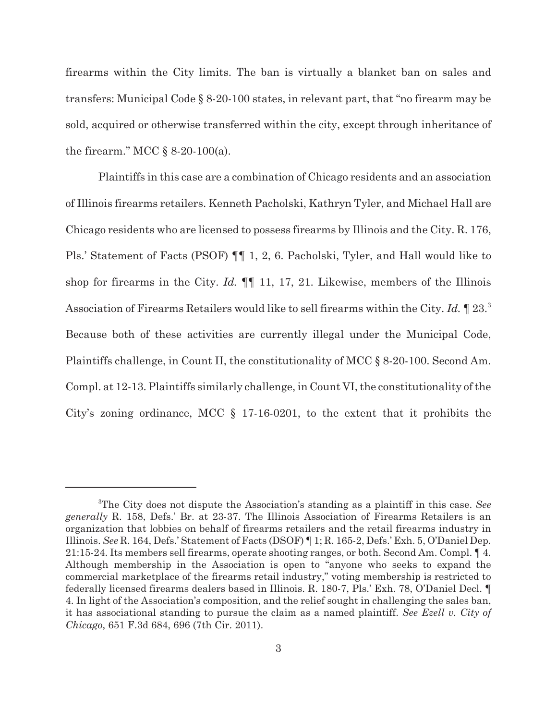firearms within the City limits. The ban is virtually a blanket ban on sales and transfers: Municipal Code § 8-20-100 states, in relevant part, that "no firearm may be sold, acquired or otherwise transferred within the city, except through inheritance of the firearm." MCC  $\S$  8-20-100(a).

Plaintiffs in this case are a combination of Chicago residents and an association of Illinois firearms retailers. Kenneth Pacholski, Kathryn Tyler, and Michael Hall are Chicago residents who are licensed to possess firearms by Illinois and the City. R. 176, Pls.' Statement of Facts (PSOF) ¶¶ 1, 2, 6. Pacholski, Tyler, and Hall would like to shop for firearms in the City. *Id.* ¶¶ 11, 17, 21. Likewise, members of the Illinois Association of Firearms Retailers would like to sell firearms within the City. *Id.* ¶ 23.<sup>3</sup> Because both of these activities are currently illegal under the Municipal Code, Plaintiffs challenge, in Count II, the constitutionality of MCC § 8-20-100. Second Am. Compl. at 12-13. Plaintiffs similarly challenge, in Count VI, the constitutionality of the City's zoning ordinance, MCC § 17-16-0201, to the extent that it prohibits the

<sup>3</sup>The City does not dispute the Association's standing as a plaintiff in this case. *See generally* R. 158, Defs.' Br. at 23-37. The Illinois Association of Firearms Retailers is an organization that lobbies on behalf of firearms retailers and the retail firearms industry in Illinois. *See* R. 164, Defs.' Statement of Facts (DSOF) ¶ 1; R. 165-2, Defs.' Exh. 5, O'Daniel Dep. 21:15-24. Its members sell firearms, operate shooting ranges, or both. Second Am. Compl. ¶ 4. Although membership in the Association is open to "anyone who seeks to expand the commercial marketplace of the firearms retail industry," voting membership is restricted to federally licensed firearms dealers based in Illinois. R. 180-7, Pls.' Exh. 78, O'Daniel Decl. ¶ 4. In light of the Association's composition, and the relief sought in challenging the sales ban, it has associational standing to pursue the claim as a named plaintiff. *See Ezell v. City of Chicago*, 651 F.3d 684, 696 (7th Cir. 2011).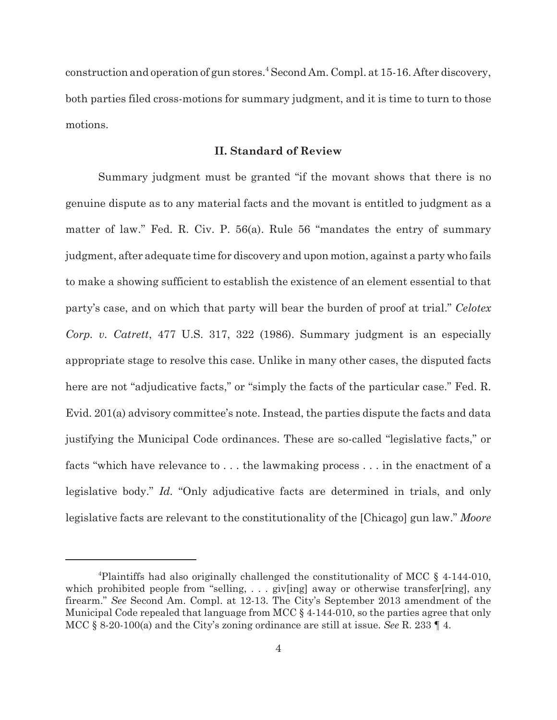construction and operation of gun stores.<sup>4</sup> Second Am. Compl. at 15-16. After discovery, both parties filed cross-motions for summary judgment, and it is time to turn to those motions.

# **II. Standard of Review**

Summary judgment must be granted "if the movant shows that there is no genuine dispute as to any material facts and the movant is entitled to judgment as a matter of law." Fed. R. Civ. P. 56(a). Rule 56 "mandates the entry of summary judgment, after adequate time for discovery and upon motion, against a party who fails to make a showing sufficient to establish the existence of an element essential to that party's case, and on which that party will bear the burden of proof at trial." *Celotex Corp. v. Catrett*, 477 U.S. 317, 322 (1986). Summary judgment is an especially appropriate stage to resolve this case. Unlike in many other cases, the disputed facts here are not "adjudicative facts," or "simply the facts of the particular case." Fed. R. Evid. 201(a) advisory committee's note. Instead, the parties dispute the facts and data justifying the Municipal Code ordinances. These are so-called "legislative facts," or facts "which have relevance to . . . the lawmaking process . . . in the enactment of a legislative body." *Id.* "Only adjudicative facts are determined in trials, and only legislative facts are relevant to the constitutionality of the [Chicago] gun law." *Moore*

<sup>&</sup>lt;sup>4</sup>Plaintiffs had also originally challenged the constitutionality of MCC  $\S$  4-144-010, which prohibited people from "selling,  $\dots$  giv[ing] away or otherwise transfer[ring], any firearm." *See* Second Am. Compl. at 12-13. The City's September 2013 amendment of the Municipal Code repealed that language from MCC § 4-144-010, so the parties agree that only MCC § 8-20-100(a) and the City's zoning ordinance are still at issue. *See* R. 233 ¶ 4.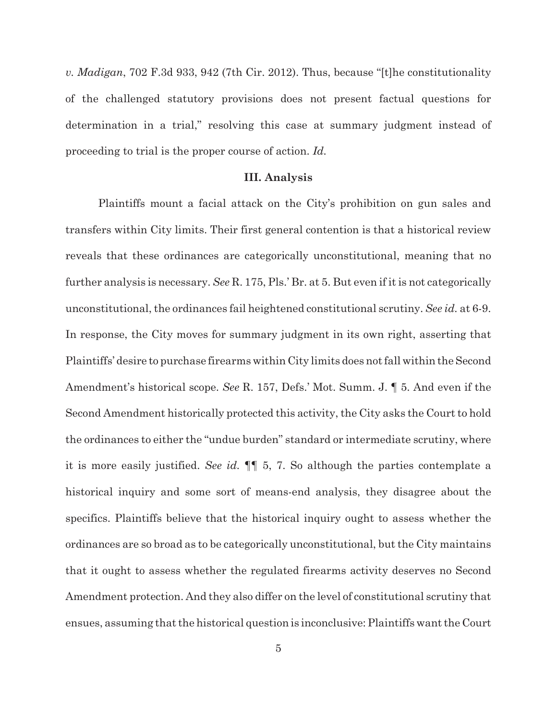*v. Madigan*, 702 F.3d 933, 942 (7th Cir. 2012). Thus, because "[t]he constitutionality of the challenged statutory provisions does not present factual questions for determination in a trial," resolving this case at summary judgment instead of proceeding to trial is the proper course of action. *Id.*

#### **III. Analysis**

Plaintiffs mount a facial attack on the City's prohibition on gun sales and transfers within City limits. Their first general contention is that a historical review reveals that these ordinances are categorically unconstitutional, meaning that no further analysis is necessary. *See* R. 175, Pls.' Br. at 5. But even if it is not categorically unconstitutional, the ordinances fail heightened constitutional scrutiny. *See id.* at 6-9. In response, the City moves for summary judgment in its own right, asserting that Plaintiffs' desire to purchase firearms within City limits does not fall within the Second Amendment's historical scope. *See* R. 157, Defs.' Mot. Summ. J. ¶ 5. And even if the Second Amendment historically protected this activity, the City asks the Court to hold the ordinances to either the "undue burden" standard or intermediate scrutiny, where it is more easily justified. *See id.* ¶¶ 5, 7. So although the parties contemplate a historical inquiry and some sort of means-end analysis, they disagree about the specifics. Plaintiffs believe that the historical inquiry ought to assess whether the ordinances are so broad as to be categorically unconstitutional, but the City maintains that it ought to assess whether the regulated firearms activity deserves no Second Amendment protection. And they also differ on the level of constitutional scrutiny that ensues, assuming that the historical question is inconclusive: Plaintiffs want the Court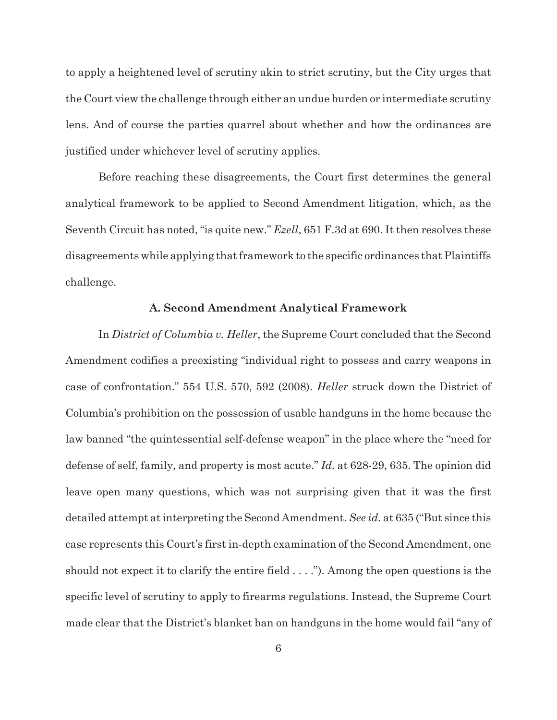to apply a heightened level of scrutiny akin to strict scrutiny, but the City urges that the Court view the challenge through either an undue burden or intermediate scrutiny lens. And of course the parties quarrel about whether and how the ordinances are justified under whichever level of scrutiny applies.

Before reaching these disagreements, the Court first determines the general analytical framework to be applied to Second Amendment litigation, which, as the Seventh Circuit has noted, "is quite new." *Ezell*, 651 F.3d at 690. It then resolves these disagreements while applying that framework to the specific ordinances that Plaintiffs challenge.

#### **A. Second Amendment Analytical Framework**

In *District of Columbia v. Heller*, the Supreme Court concluded that the Second Amendment codifies a preexisting "individual right to possess and carry weapons in case of confrontation." 554 U.S. 570, 592 (2008). *Heller* struck down the District of Columbia's prohibition on the possession of usable handguns in the home because the law banned "the quintessential self-defense weapon" in the place where the "need for defense of self, family, and property is most acute." *Id.* at 628-29, 635. The opinion did leave open many questions, which was not surprising given that it was the first detailed attempt at interpreting the Second Amendment. *See id.* at 635 ("But since this case represents this Court's first in-depth examination of the Second Amendment, one should not expect it to clarify the entire field  $\dots$ "). Among the open questions is the specific level of scrutiny to apply to firearms regulations. Instead, the Supreme Court made clear that the District's blanket ban on handguns in the home would fail "any of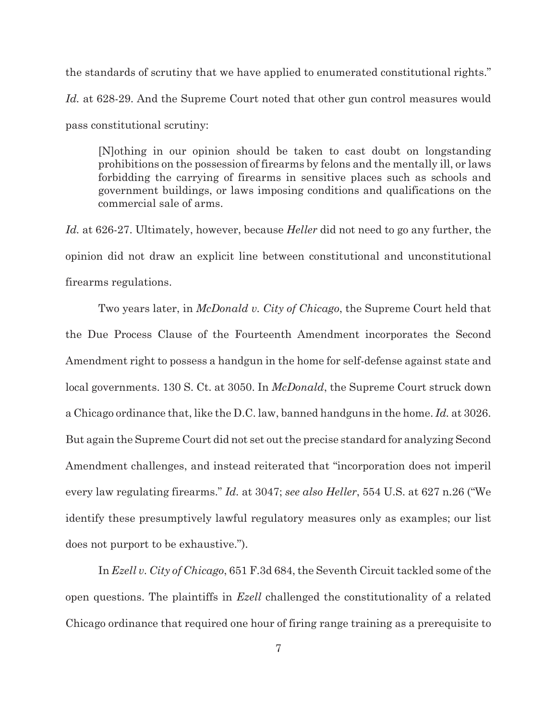the standards of scrutiny that we have applied to enumerated constitutional rights." *Id.* at 628-29. And the Supreme Court noted that other gun control measures would pass constitutional scrutiny:

[N]othing in our opinion should be taken to cast doubt on longstanding prohibitions on the possession of firearms by felons and the mentally ill, or laws forbidding the carrying of firearms in sensitive places such as schools and government buildings, or laws imposing conditions and qualifications on the commercial sale of arms.

*Id.* at 626-27. Ultimately, however, because *Heller* did not need to go any further, the opinion did not draw an explicit line between constitutional and unconstitutional firearms regulations.

Two years later, in *McDonald v. City of Chicago*, the Supreme Court held that the Due Process Clause of the Fourteenth Amendment incorporates the Second Amendment right to possess a handgun in the home for self-defense against state and local governments. 130 S. Ct. at 3050. In *McDonald*, the Supreme Court struck down a Chicago ordinance that, like the D.C. law, banned handguns in the home. *Id.* at 3026. But again the Supreme Court did not set out the precise standard for analyzing Second Amendment challenges, and instead reiterated that "incorporation does not imperil every law regulating firearms." *Id.* at 3047; *see also Heller*, 554 U.S. at 627 n.26 ("We identify these presumptively lawful regulatory measures only as examples; our list does not purport to be exhaustive.").

In *Ezell v. City of Chicago*, 651 F.3d 684, the Seventh Circuit tackled some of the open questions. The plaintiffs in *Ezell* challenged the constitutionality of a related Chicago ordinance that required one hour of firing range training as a prerequisite to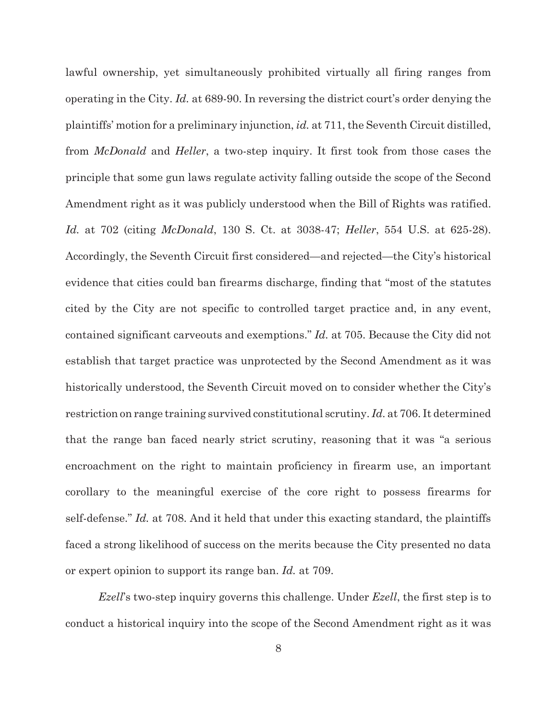lawful ownership, yet simultaneously prohibited virtually all firing ranges from operating in the City. *Id.* at 689-90. In reversing the district court's order denying the plaintiffs' motion for a preliminary injunction, *id.* at 711, the Seventh Circuit distilled, from *McDonald* and *Heller*, a two-step inquiry. It first took from those cases the principle that some gun laws regulate activity falling outside the scope of the Second Amendment right as it was publicly understood when the Bill of Rights was ratified. *Id.* at 702 (citing *McDonald*, 130 S. Ct. at 3038-47; *Heller*, 554 U.S. at 625-28). Accordingly, the Seventh Circuit first considered—and rejected—the City's historical evidence that cities could ban firearms discharge, finding that "most of the statutes cited by the City are not specific to controlled target practice and, in any event, contained significant carveouts and exemptions." *Id.* at 705. Because the City did not establish that target practice was unprotected by the Second Amendment as it was historically understood, the Seventh Circuit moved on to consider whether the City's restriction on range training survived constitutional scrutiny. *Id.* at 706. It determined that the range ban faced nearly strict scrutiny, reasoning that it was "a serious encroachment on the right to maintain proficiency in firearm use, an important corollary to the meaningful exercise of the core right to possess firearms for self-defense." *Id.* at 708. And it held that under this exacting standard, the plaintiffs faced a strong likelihood of success on the merits because the City presented no data or expert opinion to support its range ban. *Id.* at 709.

*Ezell*'s two-step inquiry governs this challenge. Under *Ezell*, the first step is to conduct a historical inquiry into the scope of the Second Amendment right as it was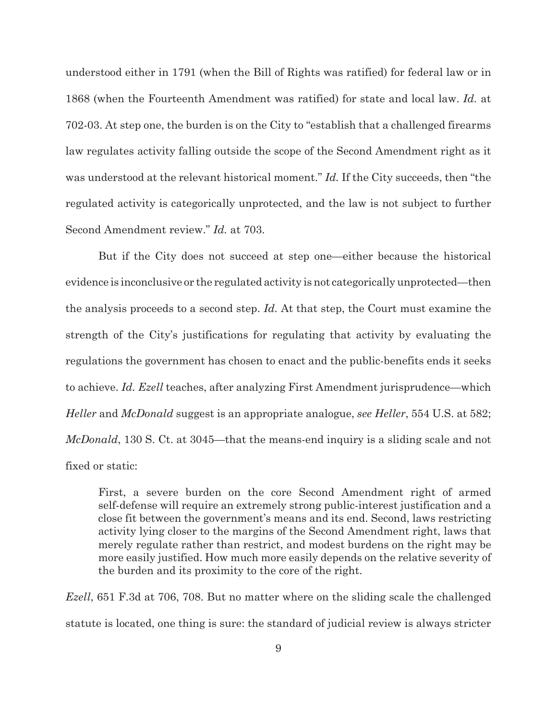understood either in 1791 (when the Bill of Rights was ratified) for federal law or in 1868 (when the Fourteenth Amendment was ratified) for state and local law. *Id.* at 702-03. At step one, the burden is on the City to "establish that a challenged firearms law regulates activity falling outside the scope of the Second Amendment right as it was understood at the relevant historical moment." *Id.* If the City succeeds, then "the regulated activity is categorically unprotected, and the law is not subject to further Second Amendment review." *Id.* at 703.

But if the City does not succeed at step one—either because the historical evidence is inconclusive or the regulated activity is not categorically unprotected—then the analysis proceeds to a second step. *Id.* At that step, the Court must examine the strength of the City's justifications for regulating that activity by evaluating the regulations the government has chosen to enact and the public-benefits ends it seeks to achieve. *Id. Ezell* teaches, after analyzing First Amendment jurisprudence—which *Heller* and *McDonald* suggest is an appropriate analogue, *see Heller*, 554 U.S. at 582; *McDonald*, 130 S. Ct. at 3045—that the means-end inquiry is a sliding scale and not fixed or static:

First, a severe burden on the core Second Amendment right of armed self-defense will require an extremely strong public-interest justification and a close fit between the government's means and its end. Second, laws restricting activity lying closer to the margins of the Second Amendment right, laws that merely regulate rather than restrict, and modest burdens on the right may be more easily justified. How much more easily depends on the relative severity of the burden and its proximity to the core of the right.

*Ezell*, 651 F.3d at 706, 708. But no matter where on the sliding scale the challenged statute is located, one thing is sure: the standard of judicial review is always stricter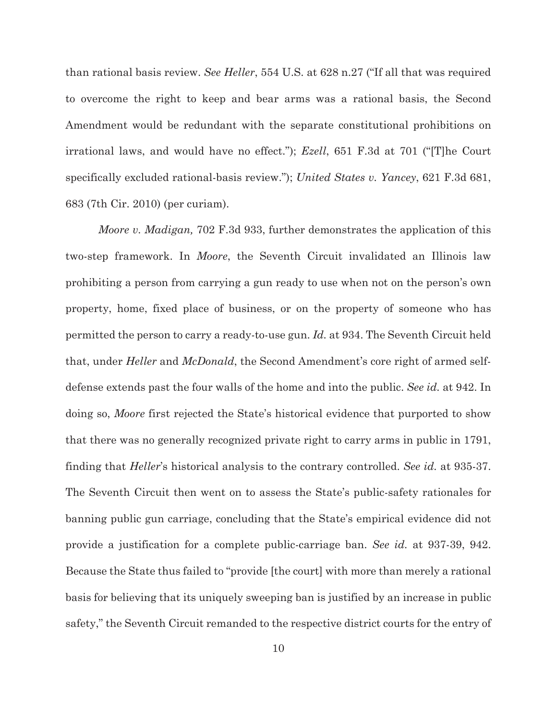than rational basis review. *See Heller*, 554 U.S. at 628 n.27 ("If all that was required to overcome the right to keep and bear arms was a rational basis, the Second Amendment would be redundant with the separate constitutional prohibitions on irrational laws, and would have no effect."); *Ezell*, 651 F.3d at 701 ("[T]he Court specifically excluded rational-basis review."); *United States v. Yancey*, 621 F.3d 681, 683 (7th Cir. 2010) (per curiam).

*Moore v. Madigan,* 702 F.3d 933, further demonstrates the application of this two-step framework. In *Moore*, the Seventh Circuit invalidated an Illinois law prohibiting a person from carrying a gun ready to use when not on the person's own property, home, fixed place of business, or on the property of someone who has permitted the person to carry a ready-to-use gun. *Id.* at 934. The Seventh Circuit held that, under *Heller* and *McDonald*, the Second Amendment's core right of armed selfdefense extends past the four walls of the home and into the public. *See id.* at 942. In doing so, *Moore* first rejected the State's historical evidence that purported to show that there was no generally recognized private right to carry arms in public in 1791, finding that *Heller*'s historical analysis to the contrary controlled. *See id.* at 935-37. The Seventh Circuit then went on to assess the State's public-safety rationales for banning public gun carriage, concluding that the State's empirical evidence did not provide a justification for a complete public-carriage ban. *See id.* at 937-39, 942. Because the State thus failed to "provide [the court] with more than merely a rational basis for believing that its uniquely sweeping ban is justified by an increase in public safety," the Seventh Circuit remanded to the respective district courts for the entry of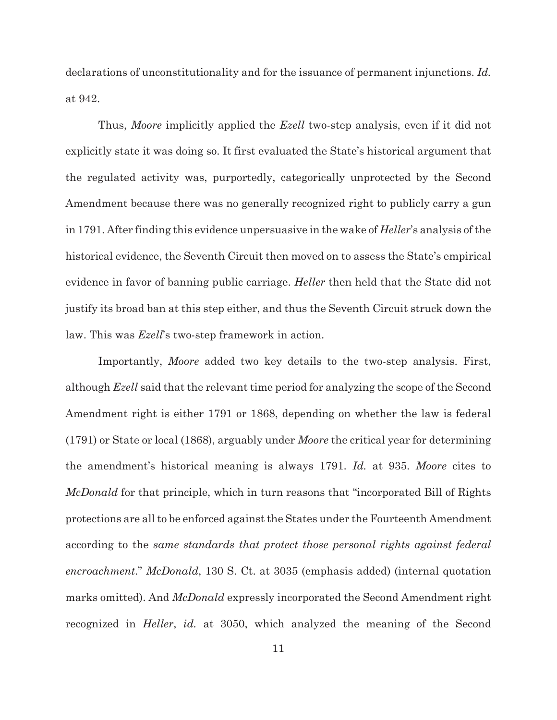declarations of unconstitutionality and for the issuance of permanent injunctions. *Id.* at 942.

Thus, *Moore* implicitly applied the *Ezell* two-step analysis, even if it did not explicitly state it was doing so. It first evaluated the State's historical argument that the regulated activity was, purportedly, categorically unprotected by the Second Amendment because there was no generally recognized right to publicly carry a gun in 1791. After finding this evidence unpersuasive in the wake of *Heller*'s analysis of the historical evidence, the Seventh Circuit then moved on to assess the State's empirical evidence in favor of banning public carriage. *Heller* then held that the State did not justify its broad ban at this step either, and thus the Seventh Circuit struck down the law. This was *Ezell*'s two-step framework in action.

Importantly, *Moore* added two key details to the two-step analysis. First, although *Ezell* said that the relevant time period for analyzing the scope of the Second Amendment right is either 1791 or 1868, depending on whether the law is federal (1791) or State or local (1868), arguably under *Moore* the critical year for determining the amendment's historical meaning is always 1791. *Id.* at 935. *Moore* cites to *McDonald* for that principle, which in turn reasons that "incorporated Bill of Rights protections are all to be enforced against the States under the Fourteenth Amendment according to the *same standards that protect those personal rights against federal encroachment*." *McDonald*, 130 S. Ct. at 3035 (emphasis added) (internal quotation marks omitted). And *McDonald* expressly incorporated the Second Amendment right recognized in *Heller*, *id.* at 3050, which analyzed the meaning of the Second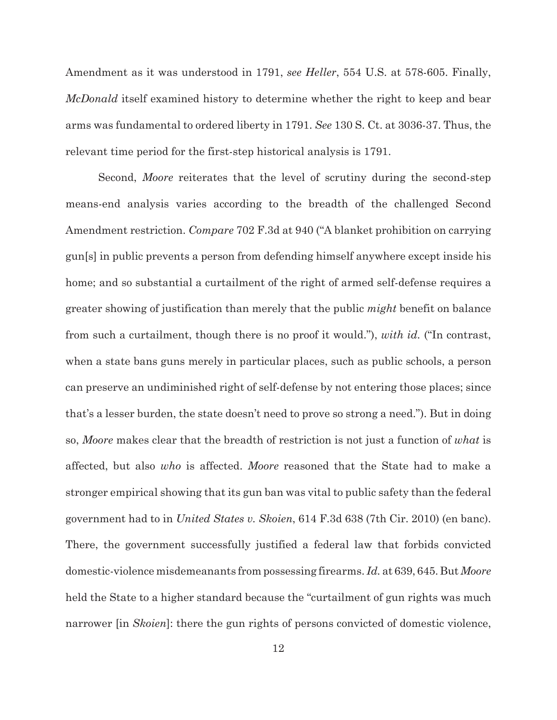Amendment as it was understood in 1791, *see Heller*, 554 U.S. at 578-605. Finally, *McDonald* itself examined history to determine whether the right to keep and bear arms was fundamental to ordered liberty in 1791. *See* 130 S. Ct. at 3036-37. Thus, the relevant time period for the first-step historical analysis is 1791.

Second, *Moore* reiterates that the level of scrutiny during the second-step means-end analysis varies according to the breadth of the challenged Second Amendment restriction. *Compare* 702 F.3d at 940 ("A blanket prohibition on carrying gun[s] in public prevents a person from defending himself anywhere except inside his home; and so substantial a curtailment of the right of armed self-defense requires a greater showing of justification than merely that the public *might* benefit on balance from such a curtailment, though there is no proof it would."), *with id.* ("In contrast, when a state bans guns merely in particular places, such as public schools, a person can preserve an undiminished right of self-defense by not entering those places; since that's a lesser burden, the state doesn't need to prove so strong a need."). But in doing so, *Moore* makes clear that the breadth of restriction is not just a function of *what* is affected, but also *who* is affected. *Moore* reasoned that the State had to make a stronger empirical showing that its gun ban was vital to public safety than the federal government had to in *United States v. Skoien*, 614 F.3d 638 (7th Cir. 2010) (en banc). There, the government successfully justified a federal law that forbids convicted domestic-violence misdemeanants from possessing firearms. *Id.* at 639, 645. But *Moore* held the State to a higher standard because the "curtailment of gun rights was much narrower [in *Skoien*]: there the gun rights of persons convicted of domestic violence,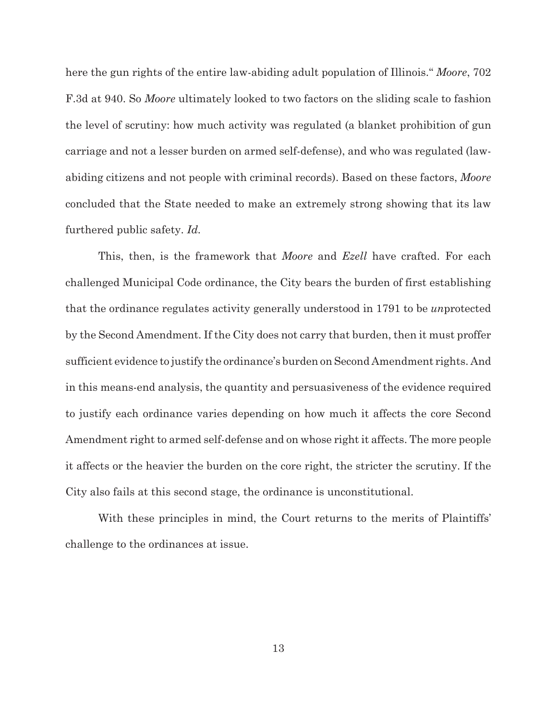here the gun rights of the entire law-abiding adult population of Illinois." *Moore*, 702 F.3d at 940. So *Moore* ultimately looked to two factors on the sliding scale to fashion the level of scrutiny: how much activity was regulated (a blanket prohibition of gun carriage and not a lesser burden on armed self-defense), and who was regulated (lawabiding citizens and not people with criminal records). Based on these factors, *Moore* concluded that the State needed to make an extremely strong showing that its law furthered public safety. *Id.*

This, then, is the framework that *Moore* and *Ezell* have crafted. For each challenged Municipal Code ordinance, the City bears the burden of first establishing that the ordinance regulates activity generally understood in 1791 to be *un*protected by the Second Amendment. If the City does not carry that burden, then it must proffer sufficient evidence to justify the ordinance's burden on Second Amendment rights. And in this means-end analysis, the quantity and persuasiveness of the evidence required to justify each ordinance varies depending on how much it affects the core Second Amendment right to armed self-defense and on whose right it affects. The more people it affects or the heavier the burden on the core right, the stricter the scrutiny. If the City also fails at this second stage, the ordinance is unconstitutional.

With these principles in mind, the Court returns to the merits of Plaintiffs' challenge to the ordinances at issue.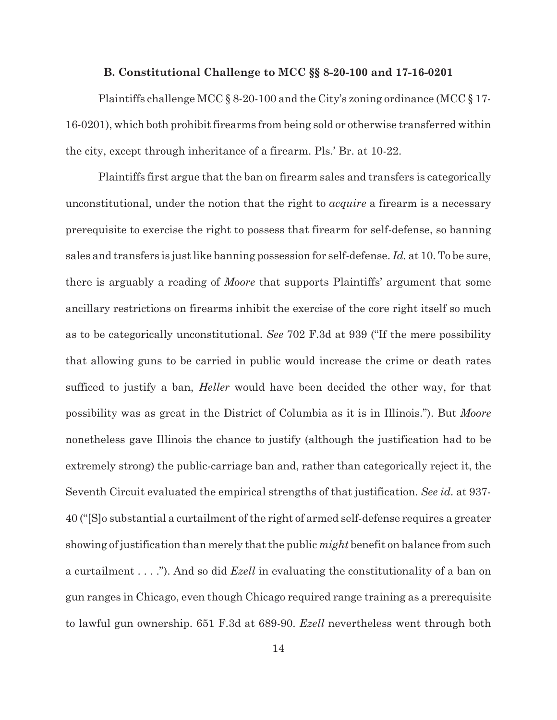#### **B. Constitutional Challenge to MCC §§ 8-20-100 and 17-16-0201**

Plaintiffs challenge MCC  $\S 8$ -20-100 and the City's zoning ordinance (MCC  $\S 17$ -16-0201), which both prohibit firearms from being sold or otherwise transferred within the city, except through inheritance of a firearm. Pls.' Br. at 10-22.

Plaintiffs first argue that the ban on firearm sales and transfers is categorically unconstitutional, under the notion that the right to *acquire* a firearm is a necessary prerequisite to exercise the right to possess that firearm for self-defense, so banning sales and transfers is just like banning possession for self-defense. *Id.* at 10. To be sure, there is arguably a reading of *Moore* that supports Plaintiffs' argument that some ancillary restrictions on firearms inhibit the exercise of the core right itself so much as to be categorically unconstitutional. *See* 702 F.3d at 939 ("If the mere possibility that allowing guns to be carried in public would increase the crime or death rates sufficed to justify a ban, *Heller* would have been decided the other way, for that possibility was as great in the District of Columbia as it is in Illinois."). But *Moore* nonetheless gave Illinois the chance to justify (although the justification had to be extremely strong) the public-carriage ban and, rather than categorically reject it, the Seventh Circuit evaluated the empirical strengths of that justification. *See id.* at 937- 40 ("[S]o substantial a curtailment of the right of armed self-defense requires a greater showing of justification than merely that the public *might* benefit on balance from such a curtailment . . . ."). And so did *Ezell* in evaluating the constitutionality of a ban on gun ranges in Chicago, even though Chicago required range training as a prerequisite to lawful gun ownership. 651 F.3d at 689-90. *Ezell* nevertheless went through both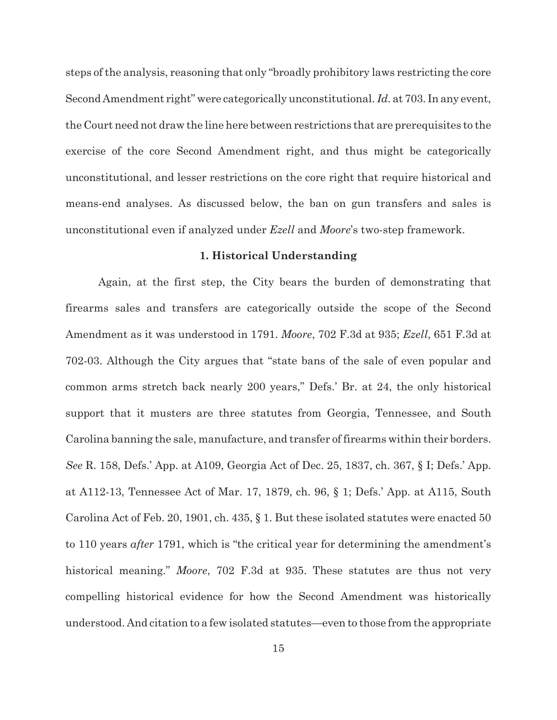steps of the analysis, reasoning that only "broadly prohibitory laws restricting the core Second Amendment right" were categorically unconstitutional. *Id.* at 703. In any event, the Court need not draw the line here between restrictions that are prerequisites to the exercise of the core Second Amendment right, and thus might be categorically unconstitutional, and lesser restrictions on the core right that require historical and means-end analyses. As discussed below, the ban on gun transfers and sales is unconstitutional even if analyzed under *Ezell* and *Moore*'s two-step framework.

## **1. Historical Understanding**

Again, at the first step, the City bears the burden of demonstrating that firearms sales and transfers are categorically outside the scope of the Second Amendment as it was understood in 1791. *Moore*, 702 F.3d at 935; *Ezell*, 651 F.3d at 702-03. Although the City argues that "state bans of the sale of even popular and common arms stretch back nearly 200 years," Defs.' Br. at 24, the only historical support that it musters are three statutes from Georgia, Tennessee, and South Carolina banning the sale, manufacture, and transfer of firearms within their borders. *See* R. 158, Defs.' App. at A109, Georgia Act of Dec. 25, 1837, ch. 367, § I; Defs.' App. at A112-13, Tennessee Act of Mar. 17, 1879, ch. 96, § 1; Defs.' App. at A115, South Carolina Act of Feb. 20, 1901, ch. 435, § 1. But these isolated statutes were enacted 50 to 110 years *after* 1791, which is "the critical year for determining the amendment's historical meaning." *Moore*, 702 F.3d at 935. These statutes are thus not very compelling historical evidence for how the Second Amendment was historically understood. And citation to a few isolated statutes—even to those from the appropriate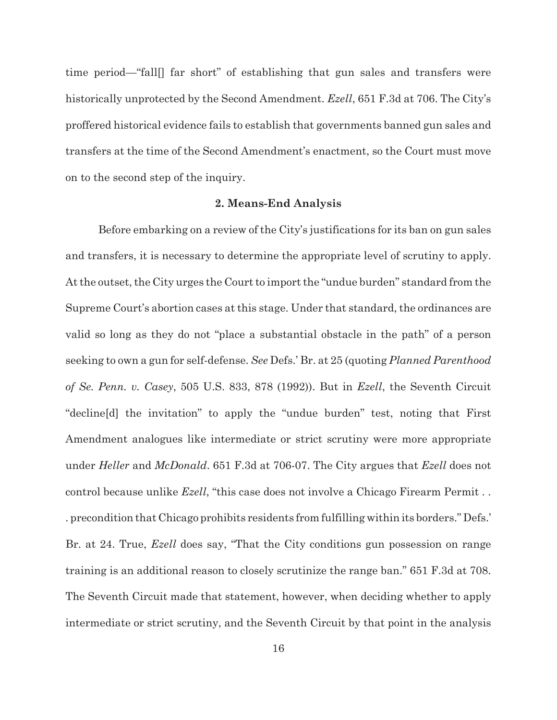time period—"fall[] far short" of establishing that gun sales and transfers were historically unprotected by the Second Amendment. *Ezell*, 651 F.3d at 706. The City's proffered historical evidence fails to establish that governments banned gun sales and transfers at the time of the Second Amendment's enactment, so the Court must move on to the second step of the inquiry.

#### **2. Means-End Analysis**

Before embarking on a review of the City's justifications for its ban on gun sales and transfers, it is necessary to determine the appropriate level of scrutiny to apply. At the outset, the City urges the Court to import the "undue burden" standard from the Supreme Court's abortion cases at this stage. Under that standard, the ordinances are valid so long as they do not "place a substantial obstacle in the path" of a person seeking to own a gun for self-defense. *See* Defs.' Br. at 25 (quoting *Planned Parenthood of Se. Penn. v. Casey*, 505 U.S. 833, 878 (1992)). But in *Ezell*, the Seventh Circuit "decline[d] the invitation" to apply the "undue burden" test, noting that First Amendment analogues like intermediate or strict scrutiny were more appropriate under *Heller* and *McDonald*. 651 F.3d at 706-07. The City argues that *Ezell* does not control because unlike *Ezell*, "this case does not involve a Chicago Firearm Permit . . . precondition that Chicago prohibits residents from fulfilling within its borders." Defs.' Br. at 24. True, *Ezell* does say, "That the City conditions gun possession on range training is an additional reason to closely scrutinize the range ban." 651 F.3d at 708. The Seventh Circuit made that statement, however, when deciding whether to apply intermediate or strict scrutiny, and the Seventh Circuit by that point in the analysis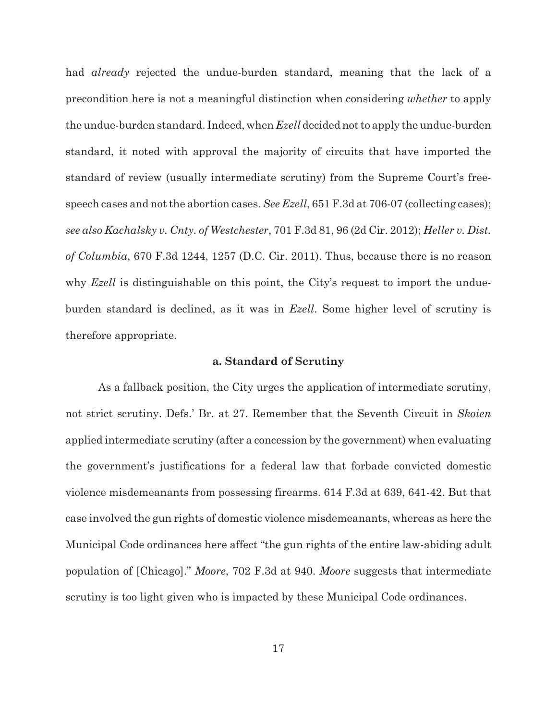had *already* rejected the undue-burden standard, meaning that the lack of a precondition here is not a meaningful distinction when considering *whether* to apply the undue-burden standard. Indeed, when *Ezell* decided not to apply the undue-burden standard, it noted with approval the majority of circuits that have imported the standard of review (usually intermediate scrutiny) from the Supreme Court's freespeech cases and not the abortion cases. *See Ezell*, 651 F.3d at 706-07 (collecting cases); *see also Kachalsky v. Cnty. of Westchester*, 701 F.3d 81, 96 (2d Cir. 2012); *Heller v. Dist. of Columbia*, 670 F.3d 1244, 1257 (D.C. Cir. 2011). Thus, because there is no reason why *Ezell* is distinguishable on this point, the City's request to import the undueburden standard is declined, as it was in *Ezell*. Some higher level of scrutiny is therefore appropriate.

### **a. Standard of Scrutiny**

As a fallback position, the City urges the application of intermediate scrutiny, not strict scrutiny. Defs.' Br. at 27. Remember that the Seventh Circuit in *Skoien* applied intermediate scrutiny (after a concession by the government) when evaluating the government's justifications for a federal law that forbade convicted domestic violence misdemeanants from possessing firearms. 614 F.3d at 639, 641-42. But that case involved the gun rights of domestic violence misdemeanants, whereas as here the Municipal Code ordinances here affect "the gun rights of the entire law-abiding adult population of [Chicago]." *Moore*, 702 F.3d at 940. *Moore* suggests that intermediate scrutiny is too light given who is impacted by these Municipal Code ordinances.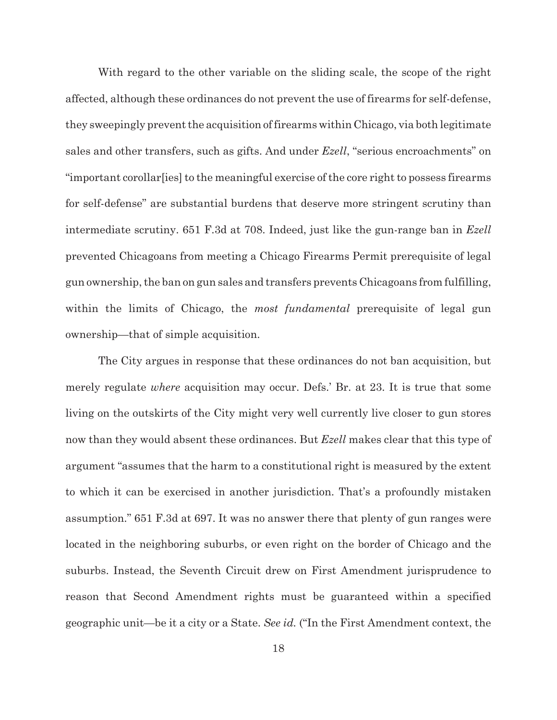With regard to the other variable on the sliding scale, the scope of the right affected, although these ordinances do not prevent the use of firearms for self-defense, they sweepingly prevent the acquisition of firearms within Chicago, via both legitimate sales and other transfers, such as gifts. And under *Ezell*, "serious encroachments" on "important corollar[ies] to the meaningful exercise of the core right to possess firearms for self-defense" are substantial burdens that deserve more stringent scrutiny than intermediate scrutiny. 651 F.3d at 708. Indeed, just like the gun-range ban in *Ezell* prevented Chicagoans from meeting a Chicago Firearms Permit prerequisite of legal gun ownership, the ban on gun sales and transfers prevents Chicagoans from fulfilling, within the limits of Chicago, the *most fundamental* prerequisite of legal gun ownership—that of simple acquisition.

The City argues in response that these ordinances do not ban acquisition, but merely regulate *where* acquisition may occur. Defs.' Br. at 23. It is true that some living on the outskirts of the City might very well currently live closer to gun stores now than they would absent these ordinances. But *Ezell* makes clear that this type of argument "assumes that the harm to a constitutional right is measured by the extent to which it can be exercised in another jurisdiction. That's a profoundly mistaken assumption." 651 F.3d at 697. It was no answer there that plenty of gun ranges were located in the neighboring suburbs, or even right on the border of Chicago and the suburbs. Instead, the Seventh Circuit drew on First Amendment jurisprudence to reason that Second Amendment rights must be guaranteed within a specified geographic unit—be it a city or a State. *See id.* ("In the First Amendment context, the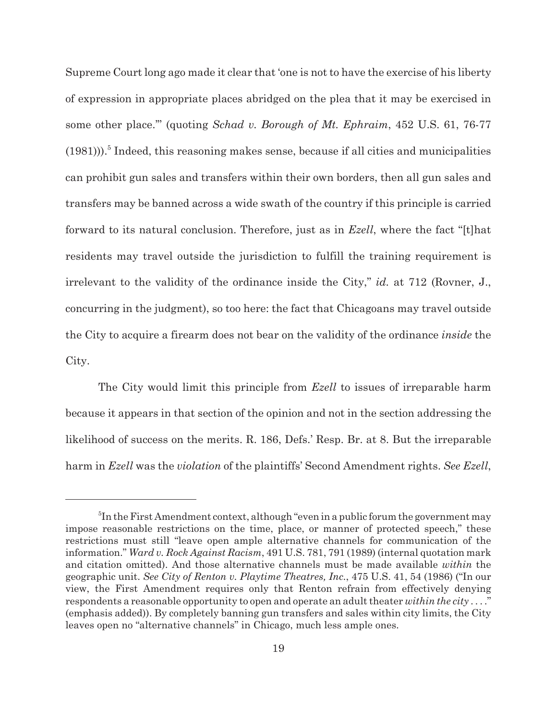Supreme Court long ago made it clear that 'one is not to have the exercise of his liberty of expression in appropriate places abridged on the plea that it may be exercised in some other place.'" (quoting *Schad v. Borough of Mt. Ephraim*, 452 U.S. 61, 76-77  $(1981))$ <sup>5</sup>. Indeed, this reasoning makes sense, because if all cities and municipalities can prohibit gun sales and transfers within their own borders, then all gun sales and transfers may be banned across a wide swath of the country if this principle is carried forward to its natural conclusion. Therefore, just as in *Ezell*, where the fact "[t]hat residents may travel outside the jurisdiction to fulfill the training requirement is irrelevant to the validity of the ordinance inside the City," *id.* at 712 (Rovner, J., concurring in the judgment), so too here: the fact that Chicagoans may travel outside the City to acquire a firearm does not bear on the validity of the ordinance *inside* the City.

The City would limit this principle from *Ezell* to issues of irreparable harm because it appears in that section of the opinion and not in the section addressing the likelihood of success on the merits. R. 186, Defs.' Resp. Br. at 8. But the irreparable harm in *Ezell* was the *violation* of the plaintiffs' Second Amendment rights. *See Ezell*,

<sup>&</sup>lt;sup>5</sup>In the First Amendment context, although "even in a public forum the government may impose reasonable restrictions on the time, place, or manner of protected speech," these restrictions must still "leave open ample alternative channels for communication of the information." *Ward v. Rock Against Racism*, 491 U.S. 781, 791 (1989) (internal quotation mark and citation omitted). And those alternative channels must be made available *within* the geographic unit. *See City of Renton v. Playtime Theatres, Inc.*, 475 U.S. 41, 54 (1986) ("In our view, the First Amendment requires only that Renton refrain from effectively denying respondents a reasonable opportunity to open and operate an adult theater *within the city* . . . ." (emphasis added)). By completely banning gun transfers and sales within city limits, the City leaves open no "alternative channels" in Chicago, much less ample ones.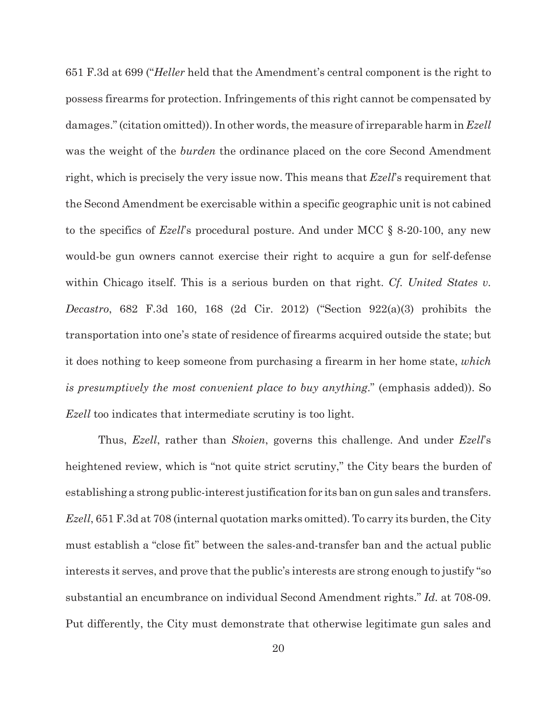651 F.3d at 699 ("*Heller* held that the Amendment's central component is the right to possess firearms for protection. Infringements of this right cannot be compensated by damages." (citation omitted)). In other words, the measure of irreparable harm in *Ezell* was the weight of the *burden* the ordinance placed on the core Second Amendment right, which is precisely the very issue now. This means that *Ezell*'s requirement that the Second Amendment be exercisable within a specific geographic unit is not cabined to the specifics of *Ezell*'s procedural posture. And under MCC § 8-20-100, any new would-be gun owners cannot exercise their right to acquire a gun for self-defense within Chicago itself. This is a serious burden on that right. *Cf. United States v. Decastro*, 682 F.3d 160, 168 (2d Cir. 2012) ("Section 922(a)(3) prohibits the transportation into one's state of residence of firearms acquired outside the state; but it does nothing to keep someone from purchasing a firearm in her home state, *which is presumptively the most convenient place to buy anything*." (emphasis added)). So *Ezell* too indicates that intermediate scrutiny is too light.

Thus, *Ezell*, rather than *Skoien*, governs this challenge. And under *Ezell*'s heightened review, which is "not quite strict scrutiny," the City bears the burden of establishing a strong public-interest justification for its ban on gun sales and transfers. *Ezell*, 651 F.3d at 708 (internal quotation marks omitted). To carry its burden, the City must establish a "close fit" between the sales-and-transfer ban and the actual public interests it serves, and prove that the public's interests are strong enough to justify "so substantial an encumbrance on individual Second Amendment rights." *Id.* at 708-09. Put differently, the City must demonstrate that otherwise legitimate gun sales and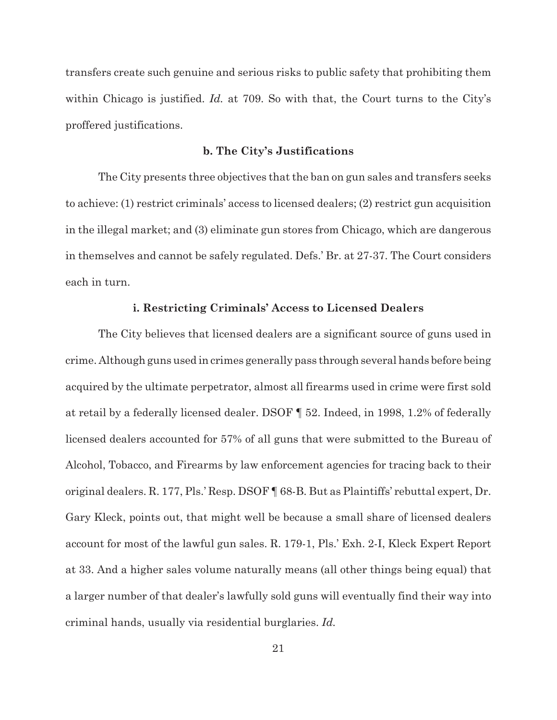transfers create such genuine and serious risks to public safety that prohibiting them within Chicago is justified. *Id.* at 709. So with that, the Court turns to the City's proffered justifications.

# **b. The City's Justifications**

The City presents three objectives that the ban on gun sales and transfers seeks to achieve: (1) restrict criminals' access to licensed dealers; (2) restrict gun acquisition in the illegal market; and (3) eliminate gun stores from Chicago, which are dangerous in themselves and cannot be safely regulated. Defs.' Br. at 27-37. The Court considers each in turn.

## **i. Restricting Criminals' Access to Licensed Dealers**

The City believes that licensed dealers are a significant source of guns used in crime. Although guns used in crimes generally pass through several hands before being acquired by the ultimate perpetrator, almost all firearms used in crime were first sold at retail by a federally licensed dealer. DSOF ¶ 52. Indeed, in 1998, 1.2% of federally licensed dealers accounted for 57% of all guns that were submitted to the Bureau of Alcohol, Tobacco, and Firearms by law enforcement agencies for tracing back to their original dealers. R. 177, Pls.' Resp. DSOF ¶ 68-B. But as Plaintiffs' rebuttal expert, Dr. Gary Kleck, points out, that might well be because a small share of licensed dealers account for most of the lawful gun sales. R. 179-1, Pls.' Exh. 2-I, Kleck Expert Report at 33. And a higher sales volume naturally means (all other things being equal) that a larger number of that dealer's lawfully sold guns will eventually find their way into criminal hands, usually via residential burglaries. *Id.*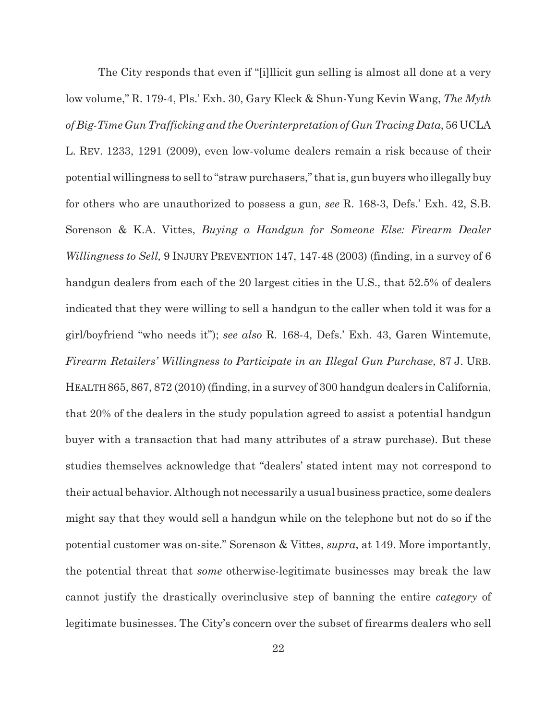The City responds that even if "[i]llicit gun selling is almost all done at a very low volume," R. 179-4, Pls.' Exh. 30, Gary Kleck & Shun-Yung Kevin Wang, *The Myth of Big-Time Gun Trafficking and the Overinterpretation of Gun Tracing Data*, 56 UCLA L. REV. 1233, 1291 (2009), even low-volume dealers remain a risk because of their potential willingness to sell to "straw purchasers," that is, gun buyers who illegally buy for others who are unauthorized to possess a gun, *see* R. 168-3, Defs.' Exh. 42, S.B. Sorenson & K.A. Vittes, *Buying a Handgun for Someone Else: Firearm Dealer Willingness to Sell,* 9 INJURY PREVENTION 147, 147-48 (2003) (finding, in a survey of 6 handgun dealers from each of the 20 largest cities in the U.S., that 52.5% of dealers indicated that they were willing to sell a handgun to the caller when told it was for a girl/boyfriend "who needs it"); *see also* R. 168-4, Defs.' Exh. 43, Garen Wintemute, *Firearm Retailers' Willingness to Participate in an Illegal Gun Purchase*, 87 J. URB. HEALTH 865, 867, 872 (2010) (finding, in a survey of 300 handgun dealers in California, that 20% of the dealers in the study population agreed to assist a potential handgun buyer with a transaction that had many attributes of a straw purchase). But these studies themselves acknowledge that "dealers' stated intent may not correspond to their actual behavior. Although not necessarily a usual business practice, some dealers might say that they would sell a handgun while on the telephone but not do so if the potential customer was on-site." Sorenson & Vittes, *supra*, at 149. More importantly, the potential threat that *some* otherwise-legitimate businesses may break the law cannot justify the drastically overinclusive step of banning the entire *category* of legitimate businesses. The City's concern over the subset of firearms dealers who sell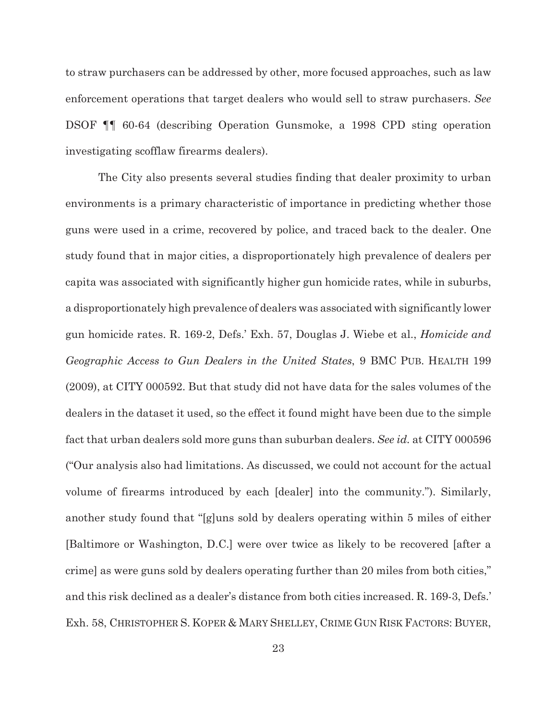to straw purchasers can be addressed by other, more focused approaches, such as law enforcement operations that target dealers who would sell to straw purchasers. *See* DSOF ¶¶ 60-64 (describing Operation Gunsmoke, a 1998 CPD sting operation investigating scofflaw firearms dealers).

The City also presents several studies finding that dealer proximity to urban environments is a primary characteristic of importance in predicting whether those guns were used in a crime, recovered by police, and traced back to the dealer. One study found that in major cities, a disproportionately high prevalence of dealers per capita was associated with significantly higher gun homicide rates, while in suburbs, a disproportionately high prevalence of dealers was associated with significantly lower gun homicide rates. R. 169-2, Defs.' Exh. 57, Douglas J. Wiebe et al., *Homicide and Geographic Access to Gun Dealers in the United States*, 9 BMC PUB. HEALTH 199 (2009), at CITY 000592. But that study did not have data for the sales volumes of the dealers in the dataset it used, so the effect it found might have been due to the simple fact that urban dealers sold more guns than suburban dealers. *See id.* at CITY 000596 ("Our analysis also had limitations. As discussed, we could not account for the actual volume of firearms introduced by each [dealer] into the community."). Similarly, another study found that "[g]uns sold by dealers operating within 5 miles of either [Baltimore or Washington, D.C.] were over twice as likely to be recovered [after a crime] as were guns sold by dealers operating further than 20 miles from both cities," and this risk declined as a dealer's distance from both cities increased. R. 169-3, Defs.' Exh. 58, CHRISTOPHER S. KOPER & MARY SHELLEY, CRIME GUN RISK FACTORS: BUYER,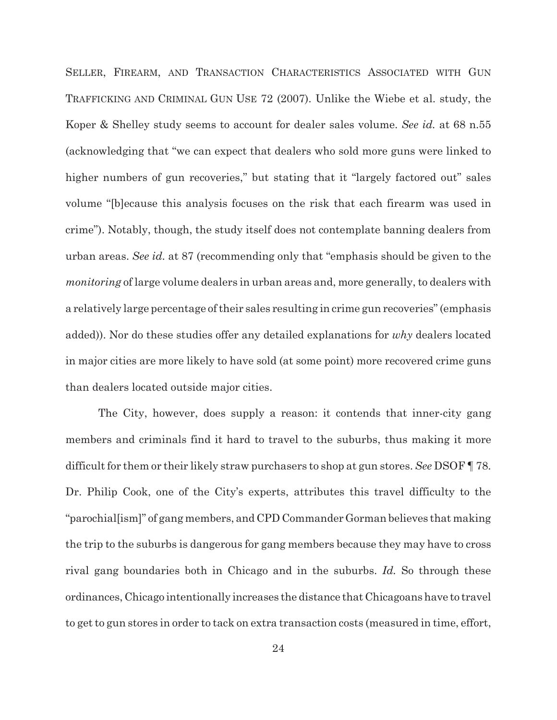SELLER, FIREARM, AND TRANSACTION CHARACTERISTICS ASSOCIATED WITH GUN TRAFFICKING AND CRIMINAL GUN USE 72 (2007). Unlike the Wiebe et al. study, the Koper & Shelley study seems to account for dealer sales volume. *See id.* at 68 n.55 (acknowledging that "we can expect that dealers who sold more guns were linked to higher numbers of gun recoveries," but stating that it "largely factored out" sales volume "[b]ecause this analysis focuses on the risk that each firearm was used in crime"). Notably, though, the study itself does not contemplate banning dealers from urban areas. *See id.* at 87 (recommending only that "emphasis should be given to the *monitoring* of large volume dealers in urban areas and, more generally, to dealers with a relatively large percentage of their sales resulting in crime gun recoveries" (emphasis added)). Nor do these studies offer any detailed explanations for *why* dealers located in major cities are more likely to have sold (at some point) more recovered crime guns than dealers located outside major cities.

The City, however, does supply a reason: it contends that inner-city gang members and criminals find it hard to travel to the suburbs, thus making it more difficult for them or their likely straw purchasers to shop at gun stores. *See* DSOF ¶ 78. Dr. Philip Cook, one of the City's experts, attributes this travel difficulty to the "parochial[ism]" of gang members, and CPD Commander Gorman believes that making the trip to the suburbs is dangerous for gang members because they may have to cross rival gang boundaries both in Chicago and in the suburbs. *Id.* So through these ordinances, Chicago intentionally increases the distance that Chicagoans have to travel to get to gun stores in order to tack on extra transaction costs (measured in time, effort,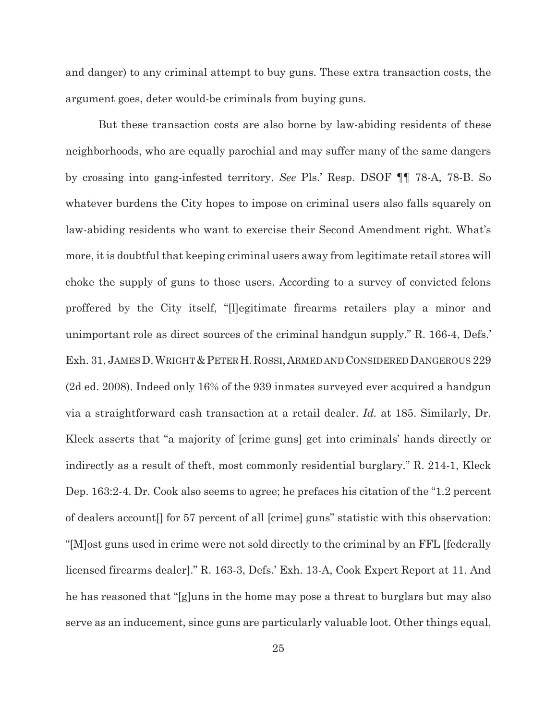and danger) to any criminal attempt to buy guns. These extra transaction costs, the argument goes, deter would-be criminals from buying guns.

But these transaction costs are also borne by law-abiding residents of these neighborhoods, who are equally parochial and may suffer many of the same dangers by crossing into gang-infested territory. *See* Pls.' Resp. DSOF ¶¶ 78-A, 78-B. So whatever burdens the City hopes to impose on criminal users also falls squarely on law-abiding residents who want to exercise their Second Amendment right. What's more, it is doubtful that keeping criminal users away from legitimate retail stores will choke the supply of guns to those users. According to a survey of convicted felons proffered by the City itself, "[l]egitimate firearms retailers play a minor and unimportant role as direct sources of the criminal handgun supply." R. 166-4, Defs.' Exh. 31, JAMES D. WRIGHT & PETER H. ROSSI, ARMED AND CONSIDERED DANGEROUS 229 (2d ed. 2008). Indeed only 16% of the 939 inmates surveyed ever acquired a handgun via a straightforward cash transaction at a retail dealer. *Id.* at 185. Similarly, Dr. Kleck asserts that "a majority of [crime guns] get into criminals' hands directly or indirectly as a result of theft, most commonly residential burglary." R. 214-1, Kleck Dep. 163:2-4. Dr. Cook also seems to agree; he prefaces his citation of the "1.2 percent of dealers account[] for 57 percent of all [crime] guns" statistic with this observation: "[M]ost guns used in crime were not sold directly to the criminal by an FFL [federally licensed firearms dealer]." R. 163-3, Defs.' Exh. 13-A, Cook Expert Report at 11. And he has reasoned that "[g]uns in the home may pose a threat to burglars but may also serve as an inducement, since guns are particularly valuable loot. Other things equal,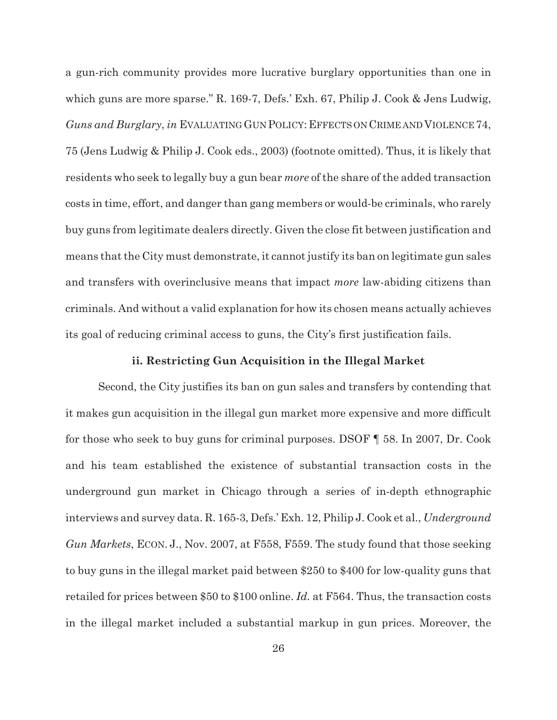a gun-rich community provides more lucrative burglary opportunities than one in which guns are more sparse." R. 169-7, Defs.' Exh. 67, Philip J. Cook & Jens Ludwig, *Guns and Burglary*, *in* EVALUATING GUN POLICY:EFFECTS ON CRIME AND VIOLENCE 74, 75 (Jens Ludwig & Philip J. Cook eds., 2003) (footnote omitted). Thus, it is likely that residents who seek to legally buy a gun bear *more* of the share of the added transaction costs in time, effort, and danger than gang members or would-be criminals, who rarely buy guns from legitimate dealers directly. Given the close fit between justification and means that the City must demonstrate, it cannot justify its ban on legitimate gun sales and transfers with overinclusive means that impact *more* law-abiding citizens than criminals. And without a valid explanation for how its chosen means actually achieves its goal of reducing criminal access to guns, the City's first justification fails.

### **ii. Restricting Gun Acquisition in the Illegal Market**

Second, the City justifies its ban on gun sales and transfers by contending that it makes gun acquisition in the illegal gun market more expensive and more difficult for those who seek to buy guns for criminal purposes. DSOF ¶ 58. In 2007, Dr. Cook and his team established the existence of substantial transaction costs in the underground gun market in Chicago through a series of in-depth ethnographic interviews and survey data. R. 165-3, Defs.' Exh. 12, Philip J. Cook et al., *Underground Gun Markets*, ECON. J., Nov. 2007, at F558, F559. The study found that those seeking to buy guns in the illegal market paid between \$250 to \$400 for low-quality guns that retailed for prices between \$50 to \$100 online. *Id.* at F564. Thus, the transaction costs in the illegal market included a substantial markup in gun prices. Moreover, the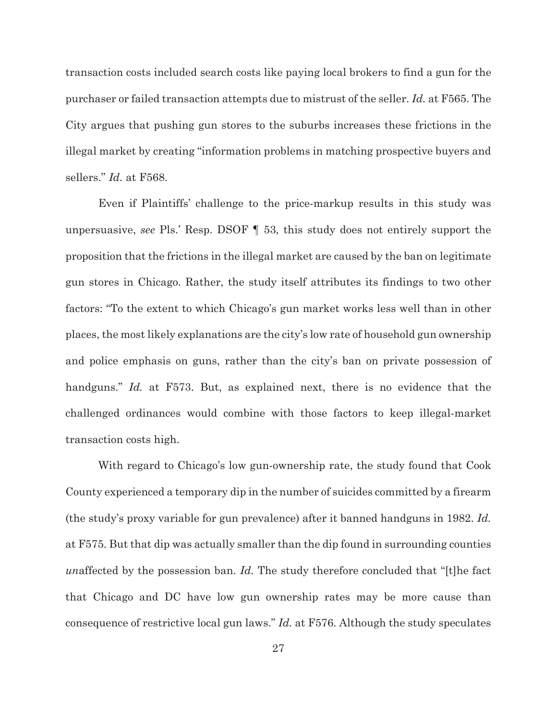transaction costs included search costs like paying local brokers to find a gun for the purchaser or failed transaction attempts due to mistrust of the seller. *Id.* at F565. The City argues that pushing gun stores to the suburbs increases these frictions in the illegal market by creating "information problems in matching prospective buyers and sellers." *Id.* at F568.

Even if Plaintiffs' challenge to the price-markup results in this study was unpersuasive, *see* Pls.' Resp. DSOF ¶ 53, this study does not entirely support the proposition that the frictions in the illegal market are caused by the ban on legitimate gun stores in Chicago. Rather, the study itself attributes its findings to two other factors: "To the extent to which Chicago's gun market works less well than in other places, the most likely explanations are the city's low rate of household gun ownership and police emphasis on guns, rather than the city's ban on private possession of handguns." *Id.* at F573. But, as explained next, there is no evidence that the challenged ordinances would combine with those factors to keep illegal-market transaction costs high.

With regard to Chicago's low gun-ownership rate, the study found that Cook County experienced a temporary dip in the number of suicides committed by a firearm (the study's proxy variable for gun prevalence) after it banned handguns in 1982. *Id.* at F575. But that dip was actually smaller than the dip found in surrounding counties *un*affected by the possession ban. *Id.* The study therefore concluded that "[t]he fact that Chicago and DC have low gun ownership rates may be more cause than consequence of restrictive local gun laws." *Id.* at F576. Although the study speculates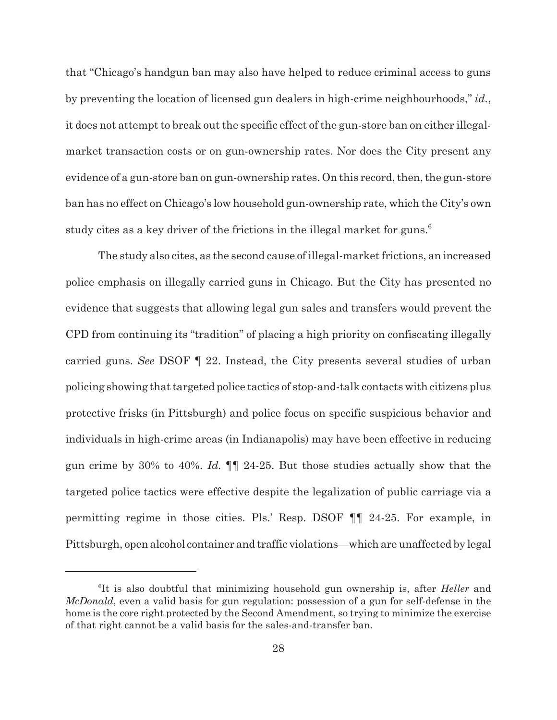that "Chicago's handgun ban may also have helped to reduce criminal access to guns by preventing the location of licensed gun dealers in high-crime neighbourhoods," *id.*, it does not attempt to break out the specific effect of the gun-store ban on either illegalmarket transaction costs or on gun-ownership rates. Nor does the City present any evidence of a gun-store ban on gun-ownership rates. On this record, then, the gun-store ban has no effect on Chicago's low household gun-ownership rate, which the City's own study cites as a key driver of the frictions in the illegal market for guns.<sup>6</sup>

The study also cites, as the second cause of illegal-market frictions, an increased police emphasis on illegally carried guns in Chicago. But the City has presented no evidence that suggests that allowing legal gun sales and transfers would prevent the CPD from continuing its "tradition" of placing a high priority on confiscating illegally carried guns. *See* DSOF ¶ 22. Instead, the City presents several studies of urban policing showing that targeted police tactics of stop-and-talk contacts with citizens plus protective frisks (in Pittsburgh) and police focus on specific suspicious behavior and individuals in high-crime areas (in Indianapolis) may have been effective in reducing gun crime by 30% to 40%. *Id.* ¶¶ 24-25. But those studies actually show that the targeted police tactics were effective despite the legalization of public carriage via a permitting regime in those cities. Pls.' Resp. DSOF ¶¶ 24-25. For example, in Pittsburgh, open alcohol container and traffic violations—which are unaffected by legal

<sup>6</sup> It is also doubtful that minimizing household gun ownership is, after *Heller* and *McDonald*, even a valid basis for gun regulation: possession of a gun for self-defense in the home is the core right protected by the Second Amendment, so trying to minimize the exercise of that right cannot be a valid basis for the sales-and-transfer ban.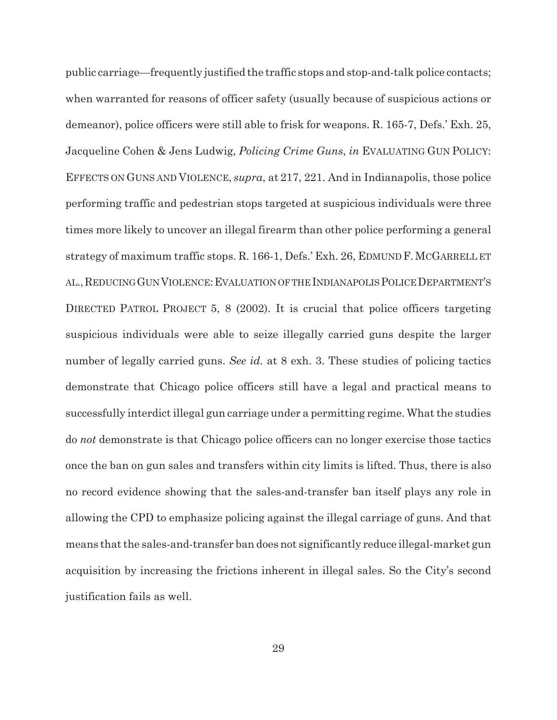public carriage—frequently justified the traffic stops and stop-and-talk police contacts; when warranted for reasons of officer safety (usually because of suspicious actions or demeanor), police officers were still able to frisk for weapons. R. 165-7, Defs.' Exh. 25, Jacqueline Cohen & Jens Ludwig, *Policing Crime Guns*, *in* EVALUATING GUN POLICY: EFFECTS ON GUNS AND VIOLENCE, *supra*, at 217, 221. And in Indianapolis, those police performing traffic and pedestrian stops targeted at suspicious individuals were three times more likely to uncover an illegal firearm than other police performing a general strategy of maximum traffic stops. R. 166-1, Defs.' Exh. 26, EDMUND F.MCGARRELL ET AL., REDUCING GUN VIOLENCE: EVALUATION OF THE INDIANAPOLIS POLICE DEPARTMENT'S DIRECTED PATROL PROJECT 5, 8 (2002). It is crucial that police officers targeting suspicious individuals were able to seize illegally carried guns despite the larger number of legally carried guns. *See id.* at 8 exh. 3. These studies of policing tactics demonstrate that Chicago police officers still have a legal and practical means to successfully interdict illegal gun carriage under a permitting regime. What the studies do *not* demonstrate is that Chicago police officers can no longer exercise those tactics once the ban on gun sales and transfers within city limits is lifted. Thus, there is also no record evidence showing that the sales-and-transfer ban itself plays any role in allowing the CPD to emphasize policing against the illegal carriage of guns. And that means that the sales-and-transfer ban does not significantly reduce illegal-market gun acquisition by increasing the frictions inherent in illegal sales. So the City's second justification fails as well.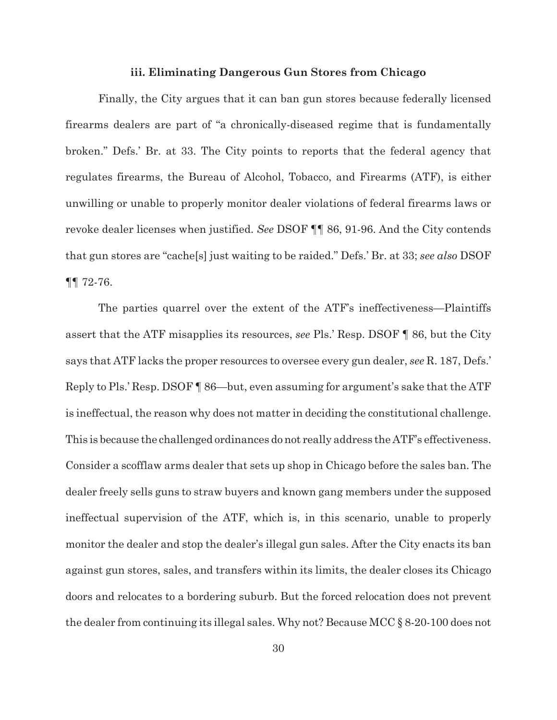## **iii. Eliminating Dangerous Gun Stores from Chicago**

Finally, the City argues that it can ban gun stores because federally licensed firearms dealers are part of "a chronically-diseased regime that is fundamentally broken." Defs.' Br. at 33. The City points to reports that the federal agency that regulates firearms, the Bureau of Alcohol, Tobacco, and Firearms (ATF), is either unwilling or unable to properly monitor dealer violations of federal firearms laws or revoke dealer licenses when justified. *See* DSOF ¶¶ 86, 91-96. And the City contends that gun stores are "cache[s] just waiting to be raided." Defs.' Br. at 33; *see also* DSOF ¶¶ 72-76.

The parties quarrel over the extent of the ATF's ineffectiveness—Plaintiffs assert that the ATF misapplies its resources, *see* Pls.' Resp. DSOF ¶ 86, but the City says that ATF lacks the proper resources to oversee every gun dealer, *see* R. 187, Defs.' Reply to Pls.' Resp. DSOF ¶ 86—but, even assuming for argument's sake that the ATF is ineffectual, the reason why does not matter in deciding the constitutional challenge. This is because the challenged ordinances do not really address the ATF's effectiveness. Consider a scofflaw arms dealer that sets up shop in Chicago before the sales ban. The dealer freely sells guns to straw buyers and known gang members under the supposed ineffectual supervision of the ATF, which is, in this scenario, unable to properly monitor the dealer and stop the dealer's illegal gun sales. After the City enacts its ban against gun stores, sales, and transfers within its limits, the dealer closes its Chicago doors and relocates to a bordering suburb. But the forced relocation does not prevent the dealer from continuing its illegal sales. Why not? Because MCC § 8-20-100 does not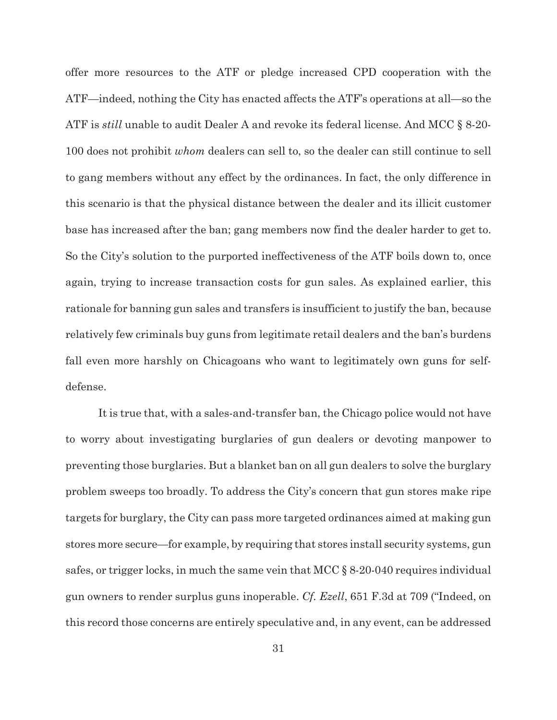offer more resources to the ATF or pledge increased CPD cooperation with the ATF—indeed, nothing the City has enacted affects the ATF's operations at all—so the ATF is *still* unable to audit Dealer A and revoke its federal license. And MCC § 8-20- 100 does not prohibit *whom* dealers can sell to, so the dealer can still continue to sell to gang members without any effect by the ordinances. In fact, the only difference in this scenario is that the physical distance between the dealer and its illicit customer base has increased after the ban; gang members now find the dealer harder to get to. So the City's solution to the purported ineffectiveness of the ATF boils down to, once again, trying to increase transaction costs for gun sales. As explained earlier, this rationale for banning gun sales and transfers is insufficient to justify the ban, because relatively few criminals buy guns from legitimate retail dealers and the ban's burdens fall even more harshly on Chicagoans who want to legitimately own guns for selfdefense.

It is true that, with a sales-and-transfer ban, the Chicago police would not have to worry about investigating burglaries of gun dealers or devoting manpower to preventing those burglaries. But a blanket ban on all gun dealers to solve the burglary problem sweeps too broadly. To address the City's concern that gun stores make ripe targets for burglary, the City can pass more targeted ordinances aimed at making gun stores more secure—for example, by requiring that stores install security systems, gun safes, or trigger locks, in much the same vein that MCC § 8-20-040 requires individual gun owners to render surplus guns inoperable. *Cf. Ezell*, 651 F.3d at 709 ("Indeed, on this record those concerns are entirely speculative and, in any event, can be addressed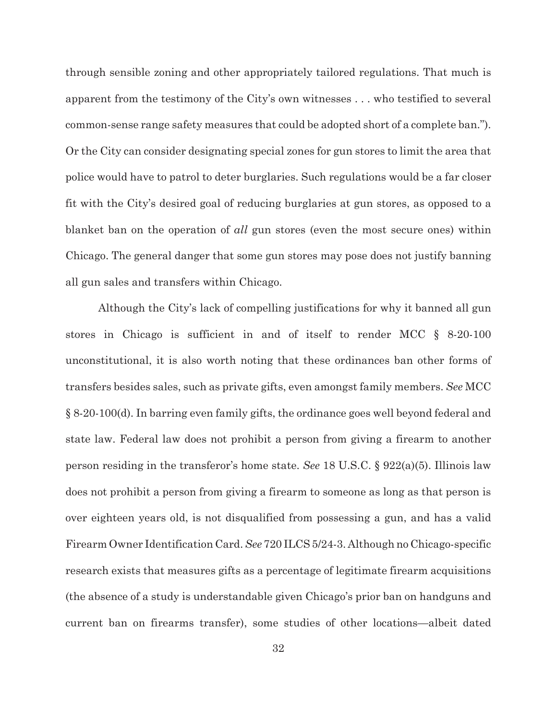through sensible zoning and other appropriately tailored regulations. That much is apparent from the testimony of the City's own witnesses . . . who testified to several common-sense range safety measures that could be adopted short of a complete ban."). Or the City can consider designating special zones for gun stores to limit the area that police would have to patrol to deter burglaries. Such regulations would be a far closer fit with the City's desired goal of reducing burglaries at gun stores, as opposed to a blanket ban on the operation of *all* gun stores (even the most secure ones) within Chicago. The general danger that some gun stores may pose does not justify banning all gun sales and transfers within Chicago.

Although the City's lack of compelling justifications for why it banned all gun stores in Chicago is sufficient in and of itself to render MCC § 8-20-100 unconstitutional, it is also worth noting that these ordinances ban other forms of transfers besides sales, such as private gifts, even amongst family members. *See* MCC § 8-20-100(d). In barring even family gifts, the ordinance goes well beyond federal and state law. Federal law does not prohibit a person from giving a firearm to another person residing in the transferor's home state. *See* 18 U.S.C. § 922(a)(5). Illinois law does not prohibit a person from giving a firearm to someone as long as that person is over eighteen years old, is not disqualified from possessing a gun, and has a valid Firearm Owner Identification Card. *See* 720 ILCS 5/24-3. Although no Chicago-specific research exists that measures gifts as a percentage of legitimate firearm acquisitions (the absence of a study is understandable given Chicago's prior ban on handguns and current ban on firearms transfer), some studies of other locations—albeit dated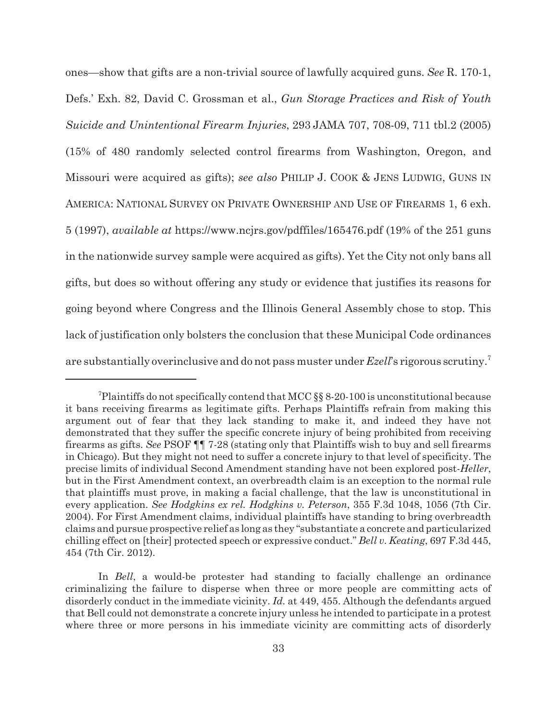ones—show that gifts are a non-trivial source of lawfully acquired guns. *See* R. 170-1, Defs.' Exh. 82, David C. Grossman et al., *Gun Storage Practices and Risk of Youth Suicide and Unintentional Firearm Injuries*, 293 JAMA 707, 708-09, 711 tbl.2 (2005) (15% of 480 randomly selected control firearms from Washington, Oregon, and Missouri were acquired as gifts); *see also* PHILIP J. COOK & JENS LUDWIG, GUNS IN AMERICA: NATIONAL SURVEY ON PRIVATE OWNERSHIP AND USE OF FIREARMS 1, 6 exh. 5 (1997), *available at* https://www.ncjrs.gov/pdffiles/165476.pdf (19% of the 251 guns in the nationwide survey sample were acquired as gifts). Yet the City not only bans all gifts, but does so without offering any study or evidence that justifies its reasons for going beyond where Congress and the Illinois General Assembly chose to stop. This lack of justification only bolsters the conclusion that these Municipal Code ordinances are substantially overinclusive and do not pass muster under *Ezell*'s rigorous scrutiny.<sup>7</sup>

 $7$ Plaintiffs do not specifically contend that MCC  $\S$ § 8-20-100 is unconstitutional because it bans receiving firearms as legitimate gifts. Perhaps Plaintiffs refrain from making this argument out of fear that they lack standing to make it, and indeed they have not demonstrated that they suffer the specific concrete injury of being prohibited from receiving firearms as gifts. *See* PSOF ¶¶ 7-28 (stating only that Plaintiffs wish to buy and sell firearms in Chicago). But they might not need to suffer a concrete injury to that level of specificity. The precise limits of individual Second Amendment standing have not been explored post-*Heller*, but in the First Amendment context, an overbreadth claim is an exception to the normal rule that plaintiffs must prove, in making a facial challenge, that the law is unconstitutional in every application. *See Hodgkins ex rel. Hodgkins v. Peterson*, 355 F.3d 1048, 1056 (7th Cir. 2004). For First Amendment claims, individual plaintiffs have standing to bring overbreadth claims and pursue prospective relief as long as they "substantiate a concrete and particularized chilling effect on [their] protected speech or expressive conduct." *Bell v. Keating*, 697 F.3d 445, 454 (7th Cir. 2012).

In *Bell*, a would-be protester had standing to facially challenge an ordinance criminalizing the failure to disperse when three or more people are committing acts of disorderly conduct in the immediate vicinity. *Id.* at 449, 455. Although the defendants argued that Bell could not demonstrate a concrete injury unless he intended to participate in a protest where three or more persons in his immediate vicinity are committing acts of disorderly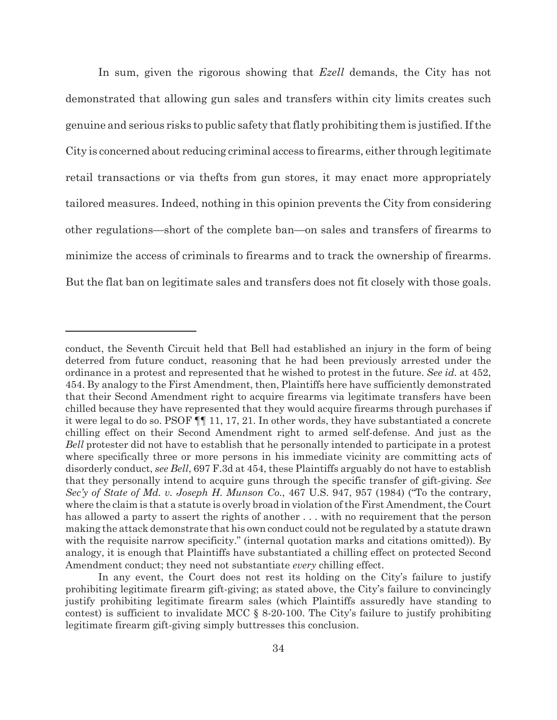In sum, given the rigorous showing that *Ezell* demands, the City has not demonstrated that allowing gun sales and transfers within city limits creates such genuine and serious risks to public safety that flatly prohibiting them is justified. If the City is concerned about reducing criminal access to firearms, either through legitimate retail transactions or via thefts from gun stores, it may enact more appropriately tailored measures. Indeed, nothing in this opinion prevents the City from considering other regulations—short of the complete ban—on sales and transfers of firearms to minimize the access of criminals to firearms and to track the ownership of firearms. But the flat ban on legitimate sales and transfers does not fit closely with those goals.

conduct, the Seventh Circuit held that Bell had established an injury in the form of being deterred from future conduct, reasoning that he had been previously arrested under the ordinance in a protest and represented that he wished to protest in the future. *See id.* at 452, 454. By analogy to the First Amendment, then, Plaintiffs here have sufficiently demonstrated that their Second Amendment right to acquire firearms via legitimate transfers have been chilled because they have represented that they would acquire firearms through purchases if it were legal to do so. PSOF ¶¶ 11, 17, 21. In other words, they have substantiated a concrete chilling effect on their Second Amendment right to armed self-defense. And just as the *Bell* protester did not have to establish that he personally intended to participate in a protest where specifically three or more persons in his immediate vicinity are committing acts of disorderly conduct, *see Bell*, 697 F.3d at 454, these Plaintiffs arguably do not have to establish that they personally intend to acquire guns through the specific transfer of gift-giving. *See Sec'y of State of Md. v. Joseph H. Munson Co.*, 467 U.S. 947, 957 (1984) ("To the contrary, where the claim is that a statute is overly broad in violation of the First Amendment, the Court has allowed a party to assert the rights of another  $\dots$  with no requirement that the person making the attack demonstrate that his own conduct could not be regulated by a statute drawn with the requisite narrow specificity." (internal quotation marks and citations omitted)). By analogy, it is enough that Plaintiffs have substantiated a chilling effect on protected Second Amendment conduct; they need not substantiate *every* chilling effect.

In any event, the Court does not rest its holding on the City's failure to justify prohibiting legitimate firearm gift-giving; as stated above, the City's failure to convincingly justify prohibiting legitimate firearm sales (which Plaintiffs assuredly have standing to contest) is sufficient to invalidate MCC  $\S$  8-20-100. The City's failure to justify prohibiting legitimate firearm gift-giving simply buttresses this conclusion.